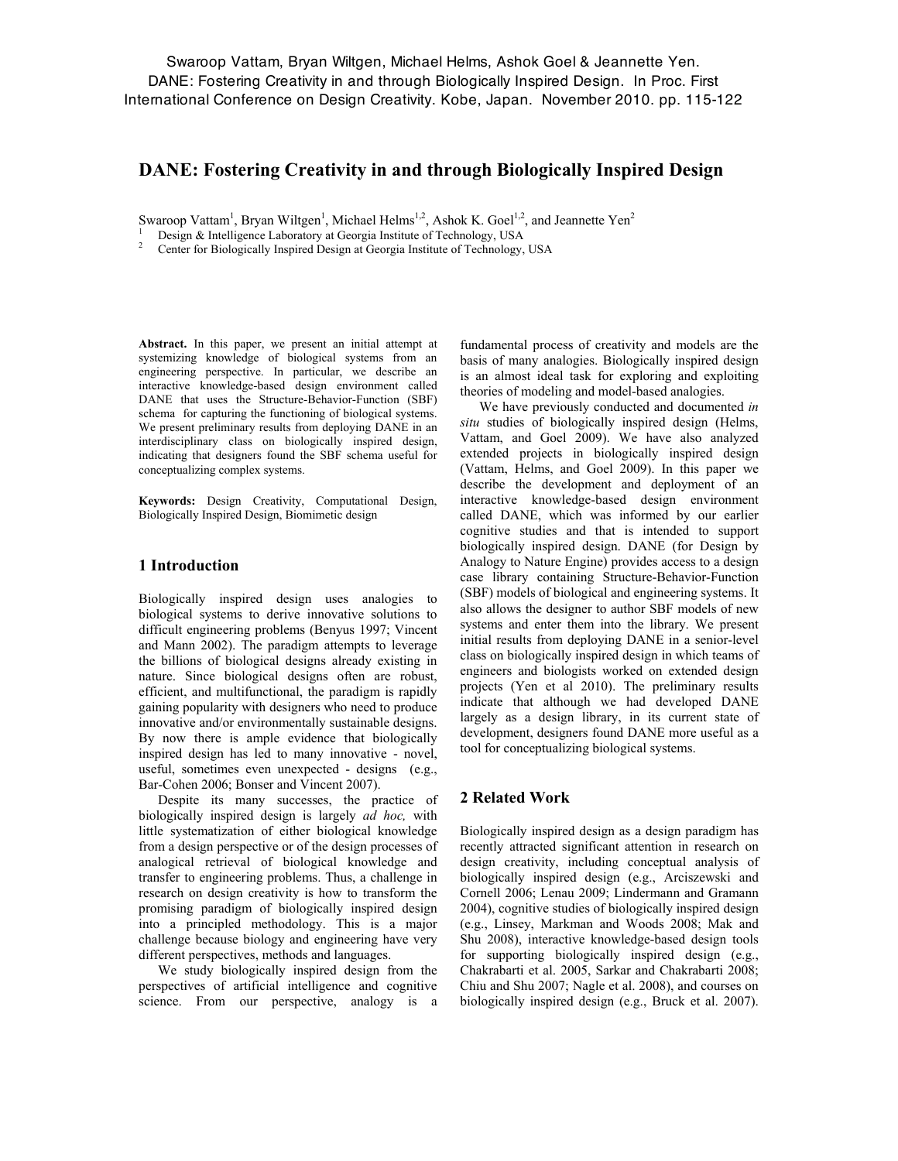Swaroop Vattam, Bryan Wiltgen, Michael Helms, Ashok Goel & Jeannette Yen. DANE: Fostering Creativity in and through Biologically Inspired Design. In Proc. First International Conference on Design Creativity. Kobe, Japan. November 2010. pp. 115-122

# **DANE: Fostering Creativity in and through Biologically Inspired Design**

Swaroop Vattam<sup>1</sup>, Bryan Wiltgen<sup>1</sup>, Michael Helms<sup>1,2</sup>, Ashok K. Goel<sup>1,2</sup>, and Jeannette Yen<sup>2</sup>

Design & Intelligence Laboratory at Georgia Institute of Technology, USA

 $\overline{\mathbf{2}}$ Center for Biologically Inspired Design at Georgia Institute of Technology, USA

Abstract. In this paper, we present an initial attempt at systemizing knowledge of biological systems from an engineering perspective. In particular, we describe an interactive knowledge-based design environment called DANE that uses the Structure-Behavior-Function (SBF) schema for capturing the functioning of biological systems. We present preliminary results from deploying DANE in an interdisciplinary class on biologically inspired design, indicating that designers found the SBF schema useful for conceptualizing complex systems.

Keywords: Design Creativity, Computational Design, Biologically Inspired Design, Biomimetic design

#### 1 Introduction

Biologically inspired design uses analogies to biological systems to derive innovative solutions to difficult engineering problems (Benyus 1997; Vincent and Mann 2002). The paradigm attempts to leverage the billions of biological designs already existing in nature. Since biological designs often are robust, efficient, and multifunctional, the paradigm is rapidly gaining popularity with designers who need to produce innovative and/or environmentally sustainable designs. By now there is ample evidence that biologically inspired design has led to many innovative - novel, useful, sometimes even unexpected - designs (e.g., Bar-Cohen 2006; Bonser and Vincent 2007).

Despite its many successes, the practice of biologically inspired design is largely ad hoc, with little systematization of either biological knowledge from a design perspective or of the design processes of analogical retrieval of biological knowledge and transfer to engineering problems. Thus, a challenge in research on design creativity is how to transform the promising paradigm of biologically inspired design into a principled methodology. This is a major challenge because biology and engineering have very different perspectives, methods and languages.

We study biologically inspired design from the perspectives of artificial intelligence and cognitive science. From our perspective, analogy is a

fundamental process of creativity and models are the basis of many analogies. Biologically inspired design is an almost ideal task for exploring and exploiting theories of modeling and model-based analogies.

We have previously conducted and documented in situ studies of biologically inspired design (Helms, Vattam, and Goel 2009). We have also analyzed extended projects in biologically inspired design (Vattam, Helms, and Goel 2009). In this paper we describe the development and deployment of an interactive knowledge-based design environment called DANE, which was informed by our earlier cognitive studies and that is intended to support biologically inspired design. DANE (for Design by Analogy to Nature Engine) provides access to a design case library containing Structure-Behavior-Function (SBF) models of biological and engineering systems. It also allows the designer to author SBF models of new systems and enter them into the library. We present initial results from deploying DANE in a senior-level class on biologically inspired design in which teams of engineers and biologists worked on extended design projects (Yen et al 2010). The preliminary results indicate that although we had developed DANE largely as a design library, in its current state of development, designers found DANE more useful as a tool for conceptualizing biological systems.

### 2 Related Work

Biologically inspired design as a design paradigm has recently attracted significant attention in research on design creativity, including conceptual analysis of biologically inspired design (e.g., Arciszewski and Cornell 2006; Lenau 2009; Lindermann and Gramann 2004), cognitive studies of biologically inspired design (e.g., Linsey, Markman and Woods 2008; Mak and Shu 2008), interactive knowledge-based design tools for supporting biologically inspired design (e.g., Chakrabarti et al. 2005, Sarkar and Chakrabarti 2008; Chiu and Shu 2007; Nagle et al. 2008), and courses on biologically inspired design (e.g., Bruck et al. 2007).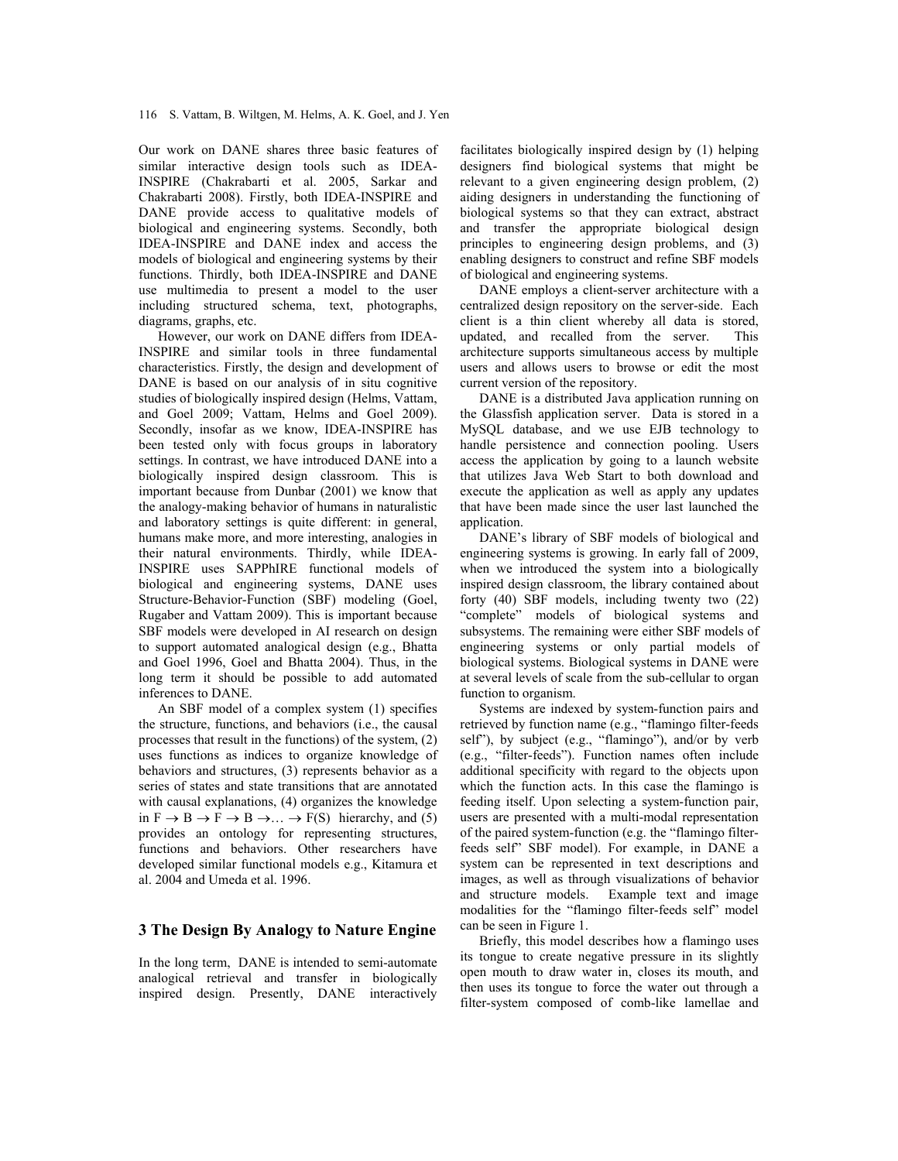Our work on DANE shares three basic features of similar interactive design tools such as IDEA-INSPIRE (Chakrabarti et al. 2005, Sarkar and Chakrabarti 2008). Firstly, both IDEA-INSPIRE and DANE provide access to qualitative models of biological and engineering systems. Secondly, both IDEA-INSPIRE and DANE index and access the models of biological and engineering systems by their functions. Thirdly, both IDEA-INSPIRE and DANE use multimedia to present a model to the user including structured schema, text, photographs, diagrams, graphs, etc.

However, our work on DANE differs from IDEA-INSPIRE and similar tools in three fundamental characteristics. Firstly, the design and development of DANE is based on our analysis of in situ cognitive studies of biologically inspired design (Helms, Vattam, and Goel 2009; Vattam, Helms and Goel 2009). Secondly, insofar as we know, IDEA-INSPIRE has been tested only with focus groups in laboratory settings. In contrast, we have introduced DANE into a biologically inspired design classroom. This is important because from Dunbar (2001) we know that the analogy-making behavior of humans in naturalistic and laboratory settings is quite different: in general, humans make more, and more interesting, analogies in their natural environments. Thirdly, while IDEA-INSPIRE uses SAPPHIRE functional models of biological and engineering systems, DANE uses Structure-Behavior-Function (SBF) modeling (Goel. Rugaber and Vattam 2009). This is important because SBF models were developed in AI research on design to support automated analogical design (e.g., Bhatta and Goel 1996, Goel and Bhatta 2004). Thus, in the long term it should be possible to add automated inferences to DANE.

An SBF model of a complex system (1) specifies the structure, functions, and behaviors (i.e., the causal processes that result in the functions) of the system, (2) uses functions as indices to organize knowledge of behaviors and structures, (3) represents behavior as a series of states and state transitions that are annotated with causal explanations, (4) organizes the knowledge in  $F \to B \to F \to B \to \dots \to F(S)$  hierarchy, and (5) provides an ontology for representing structures, functions and behaviors. Other researchers have developed similar functional models e.g., Kitamura et al. 2004 and Umeda et al. 1996.

#### 3 The Design By Analogy to Nature Engine

In the long term, DANE is intended to semi-automate analogical retrieval and transfer in biologically inspired design. Presently, DANE interactively

facilitates biologically inspired design by (1) helping designers find biological systems that might be relevant to a given engineering design problem, (2) aiding designers in understanding the functioning of biological systems so that they can extract, abstract and transfer the appropriate biological design principles to engineering design problems, and (3) enabling designers to construct and refine SBF models of biological and engineering systems.

DANE employs a client-server architecture with a centralized design repository on the server-side. Each client is a thin client whereby all data is stored, updated, and recalled from the server. This architecture supports simultaneous access by multiple users and allows users to browse or edit the most current version of the repository.

DANE is a distributed Java application running on the Glassfish application server. Data is stored in a MySQL database, and we use EJB technology to handle persistence and connection pooling. Users access the application by going to a launch website that utilizes Java Web Start to both download and execute the application as well as apply any updates that have been made since the user last launched the application.

DANE's library of SBF models of biological and engineering systems is growing. In early fall of 2009, when we introduced the system into a biologically inspired design classroom, the library contained about forty  $(40)$  SBF models, including twenty two  $(22)$ "complete" models of biological systems and subsystems. The remaining were either SBF models of engineering systems or only partial models of biological systems. Biological systems in DANE were at several levels of scale from the sub-cellular to organ function to organism.

Systems are indexed by system-function pairs and retrieved by function name (e.g., "flamingo filter-feeds self"), by subject (e.g., "flamingo"), and/or by verb (e.g., "filter-feeds"). Function names often include additional specificity with regard to the objects upon which the function acts. In this case the flamingo is feeding itself. Upon selecting a system-function pair, users are presented with a multi-modal representation of the paired system-function (e.g. the "flamingo filterfeeds self" SBF model). For example, in DANE a system can be represented in text descriptions and images, as well as through visualizations of behavior and structure models. Example text and image modalities for the "flamingo filter-feeds self" model can be seen in Figure 1.

Briefly, this model describes how a flamingo uses its tongue to create negative pressure in its slightly open mouth to draw water in, closes its mouth, and then uses its tongue to force the water out through a filter-system composed of comb-like lamellae and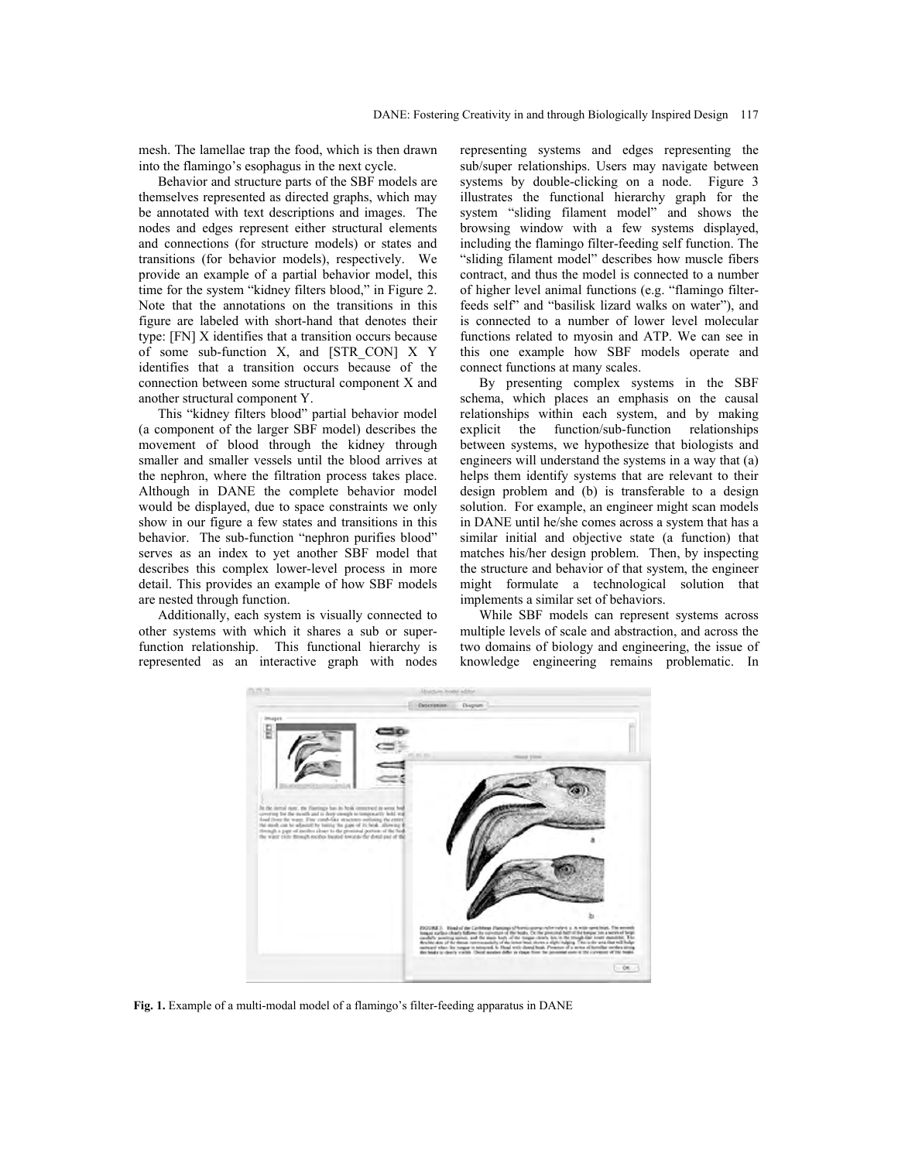mesh. The lamellae trap the food, which is then drawn into the flamingo's esophagus in the next cycle.

Behavior and structure parts of the SBF models are themselves represented as directed graphs, which may be annotated with text descriptions and images. The nodes and edges represent either structural elements and connections (for structure models) or states and transitions (for behavior models), respectively. We provide an example of a partial behavior model, this time for the system "kidney filters blood," in Figure 2. Note that the annotations on the transitions in this figure are labeled with short-hand that denotes their type: [FN] X identifies that a transition occurs because of some sub-function X, and [STR CON] X Y identifies that a transition occurs because of the connection between some structural component X and another structural component Y.

This "kidney filters blood" partial behavior model (a component of the larger SBF model) describes the movement of blood through the kidney through smaller and smaller vessels until the blood arrives at the nephron, where the filtration process takes place. Although in DANE the complete behavior model would be displayed, due to space constraints we only show in our figure a few states and transitions in this behavior. The sub-function "nephron purifies blood" serves as an index to yet another SBF model that describes this complex lower-level process in more detail. This provides an example of how SBF models are nested through function.

Additionally, each system is visually connected to other systems with which it shares a sub or superfunction relationship. This functional hierarchy is represented as an interactive graph with nodes

representing systems and edges representing the sub/super relationships. Users may navigate between systems by double-clicking on a node. Figure 3 illustrates the functional hierarchy graph for the system "sliding filament model" and shows the browsing window with a few systems displayed, including the flamingo filter-feeding self function. The "sliding filament model" describes how muscle fibers contract, and thus the model is connected to a number of higher level animal functions (e.g. "flamingo filterfeeds self" and "basilisk lizard walks on water"), and is connected to a number of lower level molecular functions related to myosin and ATP. We can see in this one example how SBF models operate and connect functions at many scales.

By presenting complex systems in the SBF schema, which places an emphasis on the causal relationships within each system, and by making explicit the function/sub-function relationships between systems, we hypothesize that biologists and engineers will understand the systems in a way that (a) helps them identify systems that are relevant to their design problem and (b) is transferable to a design solution. For example, an engineer might scan models in DANE until he/she comes across a system that has a similar initial and objective state (a function) that matches his/her design problem. Then, by inspecting the structure and behavior of that system, the engineer might formulate a technological solution that implements a similar set of behaviors.

While SBF models can represent systems across multiple levels of scale and abstraction, and across the two domains of biology and engineering, the issue of knowledge engineering remains problematic. In



Fig. 1. Example of a multi-modal model of a flamingo's filter-feeding apparatus in DANE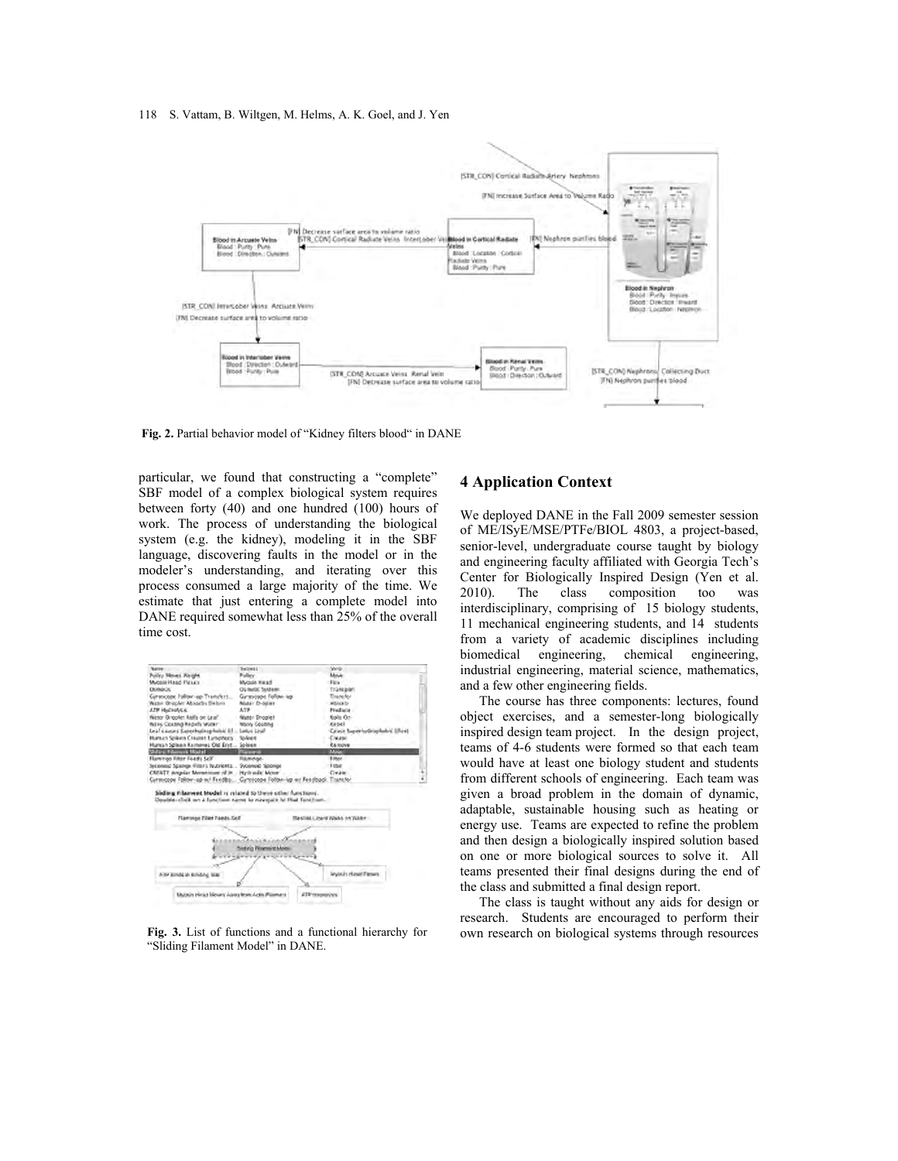#### 118 S. Vattam, B. Wiltgen, M. Helms, A. K. Goel, and J. Yen



Fig. 2. Partial behavior model of "Kidney filters blood" in DANE

particular, we found that constructing a "complete" SBF model of a complex biological system requires between forty (40) and one hundred (100) hours of work. The process of understanding the biological system (e.g. the kidney), modeling it in the SBF language, discovering faults in the model or in the modeler's understanding, and iterating over this process consumed a large majority of the time. We estimate that just entering a complete model into DANE required somewhat less than 25% of the overall time cost.

| Mour<br>Pulley Moves Airight<br>Fulley.<br>Mycellt Head Figura<br>Microsoft Warad<br>Film.<br>OLIMOX SOURI<br>Trú-kepán<br><b>DOMAGE</b><br>Gymrosoe Follow les<br>Thursday<br>Carancese Julian ap Trancert.<br>Water Grischer Abasety Belseis<br>Noter Diodies<br><b>MONKED</b><br>ATP.<br><b>JUP HIGHAGE</b><br>Predace -<br>Netor Groofet Rail's on Law<br>Nate: Droglet<br><b>Kolk On</b><br>Ways Coasing Repels Woter-<br><b>None Counnel</b><br>Kettel<br>Leáf dáiricí Saterbatiophabé III.<br><b>Datos Lisal</b><br>Calacit Superindiriginalist Effect<br>Human Spiken Creates Lungibuxy<br>Spilea m<br>Crease<br>Human Spiege Kamawa; Old End<br>Solden.<br><b>RATIONS</b><br>William Filamers Model<br>mm<br><b>Carried Cold</b><br>Flamings Alter Feeds Self<br><b>RAMANA</b><br>Eilbert.<br>Second Spange Fitters Nutrients Syconod Sponge<br>1 min<br>CRESTE Areplay Movement of its  Hylvanik Meter<br>Craw<br>Cursucope Folibu- ap sci Faedbo  Cursocope Folibe- lap as Feedback Transfer<br>Siding Filament Model is related to there other functions.<br>Deutstereließ my à function name la racceate to that function.<br>Flamongs Files Family Kell<br><b>Bashell Joerd Walte netWalter</b><br><u></u><br><b>Studie's Pillensing Model</b><br><b>ATALLANTA CONTRACTO</b><br><b>Invision Hawii Ferran</b><br>Alty break in scholars black | National | Technold, | <b>View</b> |  |
|------------------------------------------------------------------------------------------------------------------------------------------------------------------------------------------------------------------------------------------------------------------------------------------------------------------------------------------------------------------------------------------------------------------------------------------------------------------------------------------------------------------------------------------------------------------------------------------------------------------------------------------------------------------------------------------------------------------------------------------------------------------------------------------------------------------------------------------------------------------------------------------------------------------------------------------------------------------------------------------------------------------------------------------------------------------------------------------------------------------------------------------------------------------------------------------------------------------------------------------------------------------------------------------------------------------------------------------------------------|----------|-----------|-------------|--|
|                                                                                                                                                                                                                                                                                                                                                                                                                                                                                                                                                                                                                                                                                                                                                                                                                                                                                                                                                                                                                                                                                                                                                                                                                                                                                                                                                            |          |           |             |  |
|                                                                                                                                                                                                                                                                                                                                                                                                                                                                                                                                                                                                                                                                                                                                                                                                                                                                                                                                                                                                                                                                                                                                                                                                                                                                                                                                                            |          |           |             |  |
|                                                                                                                                                                                                                                                                                                                                                                                                                                                                                                                                                                                                                                                                                                                                                                                                                                                                                                                                                                                                                                                                                                                                                                                                                                                                                                                                                            |          |           |             |  |
|                                                                                                                                                                                                                                                                                                                                                                                                                                                                                                                                                                                                                                                                                                                                                                                                                                                                                                                                                                                                                                                                                                                                                                                                                                                                                                                                                            |          |           |             |  |
|                                                                                                                                                                                                                                                                                                                                                                                                                                                                                                                                                                                                                                                                                                                                                                                                                                                                                                                                                                                                                                                                                                                                                                                                                                                                                                                                                            |          |           |             |  |
|                                                                                                                                                                                                                                                                                                                                                                                                                                                                                                                                                                                                                                                                                                                                                                                                                                                                                                                                                                                                                                                                                                                                                                                                                                                                                                                                                            |          |           |             |  |
|                                                                                                                                                                                                                                                                                                                                                                                                                                                                                                                                                                                                                                                                                                                                                                                                                                                                                                                                                                                                                                                                                                                                                                                                                                                                                                                                                            |          |           |             |  |
|                                                                                                                                                                                                                                                                                                                                                                                                                                                                                                                                                                                                                                                                                                                                                                                                                                                                                                                                                                                                                                                                                                                                                                                                                                                                                                                                                            |          |           |             |  |
|                                                                                                                                                                                                                                                                                                                                                                                                                                                                                                                                                                                                                                                                                                                                                                                                                                                                                                                                                                                                                                                                                                                                                                                                                                                                                                                                                            |          |           |             |  |
|                                                                                                                                                                                                                                                                                                                                                                                                                                                                                                                                                                                                                                                                                                                                                                                                                                                                                                                                                                                                                                                                                                                                                                                                                                                                                                                                                            |          |           |             |  |
|                                                                                                                                                                                                                                                                                                                                                                                                                                                                                                                                                                                                                                                                                                                                                                                                                                                                                                                                                                                                                                                                                                                                                                                                                                                                                                                                                            |          |           |             |  |
|                                                                                                                                                                                                                                                                                                                                                                                                                                                                                                                                                                                                                                                                                                                                                                                                                                                                                                                                                                                                                                                                                                                                                                                                                                                                                                                                                            |          |           |             |  |
|                                                                                                                                                                                                                                                                                                                                                                                                                                                                                                                                                                                                                                                                                                                                                                                                                                                                                                                                                                                                                                                                                                                                                                                                                                                                                                                                                            |          |           |             |  |
|                                                                                                                                                                                                                                                                                                                                                                                                                                                                                                                                                                                                                                                                                                                                                                                                                                                                                                                                                                                                                                                                                                                                                                                                                                                                                                                                                            |          |           |             |  |
|                                                                                                                                                                                                                                                                                                                                                                                                                                                                                                                                                                                                                                                                                                                                                                                                                                                                                                                                                                                                                                                                                                                                                                                                                                                                                                                                                            |          |           |             |  |
|                                                                                                                                                                                                                                                                                                                                                                                                                                                                                                                                                                                                                                                                                                                                                                                                                                                                                                                                                                                                                                                                                                                                                                                                                                                                                                                                                            |          |           |             |  |
|                                                                                                                                                                                                                                                                                                                                                                                                                                                                                                                                                                                                                                                                                                                                                                                                                                                                                                                                                                                                                                                                                                                                                                                                                                                                                                                                                            |          |           |             |  |
|                                                                                                                                                                                                                                                                                                                                                                                                                                                                                                                                                                                                                                                                                                                                                                                                                                                                                                                                                                                                                                                                                                                                                                                                                                                                                                                                                            |          |           |             |  |
|                                                                                                                                                                                                                                                                                                                                                                                                                                                                                                                                                                                                                                                                                                                                                                                                                                                                                                                                                                                                                                                                                                                                                                                                                                                                                                                                                            |          |           |             |  |
|                                                                                                                                                                                                                                                                                                                                                                                                                                                                                                                                                                                                                                                                                                                                                                                                                                                                                                                                                                                                                                                                                                                                                                                                                                                                                                                                                            |          |           |             |  |
|                                                                                                                                                                                                                                                                                                                                                                                                                                                                                                                                                                                                                                                                                                                                                                                                                                                                                                                                                                                                                                                                                                                                                                                                                                                                                                                                                            |          |           |             |  |
|                                                                                                                                                                                                                                                                                                                                                                                                                                                                                                                                                                                                                                                                                                                                                                                                                                                                                                                                                                                                                                                                                                                                                                                                                                                                                                                                                            |          |           |             |  |
|                                                                                                                                                                                                                                                                                                                                                                                                                                                                                                                                                                                                                                                                                                                                                                                                                                                                                                                                                                                                                                                                                                                                                                                                                                                                                                                                                            |          |           |             |  |
|                                                                                                                                                                                                                                                                                                                                                                                                                                                                                                                                                                                                                                                                                                                                                                                                                                                                                                                                                                                                                                                                                                                                                                                                                                                                                                                                                            |          |           |             |  |
|                                                                                                                                                                                                                                                                                                                                                                                                                                                                                                                                                                                                                                                                                                                                                                                                                                                                                                                                                                                                                                                                                                                                                                                                                                                                                                                                                            |          |           |             |  |
|                                                                                                                                                                                                                                                                                                                                                                                                                                                                                                                                                                                                                                                                                                                                                                                                                                                                                                                                                                                                                                                                                                                                                                                                                                                                                                                                                            |          |           |             |  |
|                                                                                                                                                                                                                                                                                                                                                                                                                                                                                                                                                                                                                                                                                                                                                                                                                                                                                                                                                                                                                                                                                                                                                                                                                                                                                                                                                            |          |           |             |  |
| Mutatin Hinka Mesany Agers trans Arab. Plasma a<br>410 memorian                                                                                                                                                                                                                                                                                                                                                                                                                                                                                                                                                                                                                                                                                                                                                                                                                                                                                                                                                                                                                                                                                                                                                                                                                                                                                            |          |           |             |  |

Fig. 3. List of functions and a functional hierarchy for "Sliding Filament Model" in DANE.

## **4 Application Context**

We deployed DANE in the Fall 2009 semester session of ME/ISyE/MSE/PTFe/BIOL 4803, a project-based, senior-level, undergraduate course taught by biology and engineering faculty affiliated with Georgia Tech's Center for Biologically Inspired Design (Yen et al. 2010). The class composition too was interdisciplinary, comprising of 15 biology students, 11 mechanical engineering students, and 14 students from a variety of academic disciplines including engineering. chemical biomedical engineering. industrial engineering, material science, mathematics, and a few other engineering fields.

The course has three components: lectures, found object exercises, and a semester-long biologically inspired design team project. In the design project, teams of 4-6 students were formed so that each team would have at least one biology student and students from different schools of engineering. Each team was given a broad problem in the domain of dynamic, adaptable, sustainable housing such as heating or energy use. Teams are expected to refine the problem and then design a biologically inspired solution based on one or more biological sources to solve it. All teams presented their final designs during the end of the class and submitted a final design report.

The class is taught without any aids for design or research. Students are encouraged to perform their own research on biological systems through resources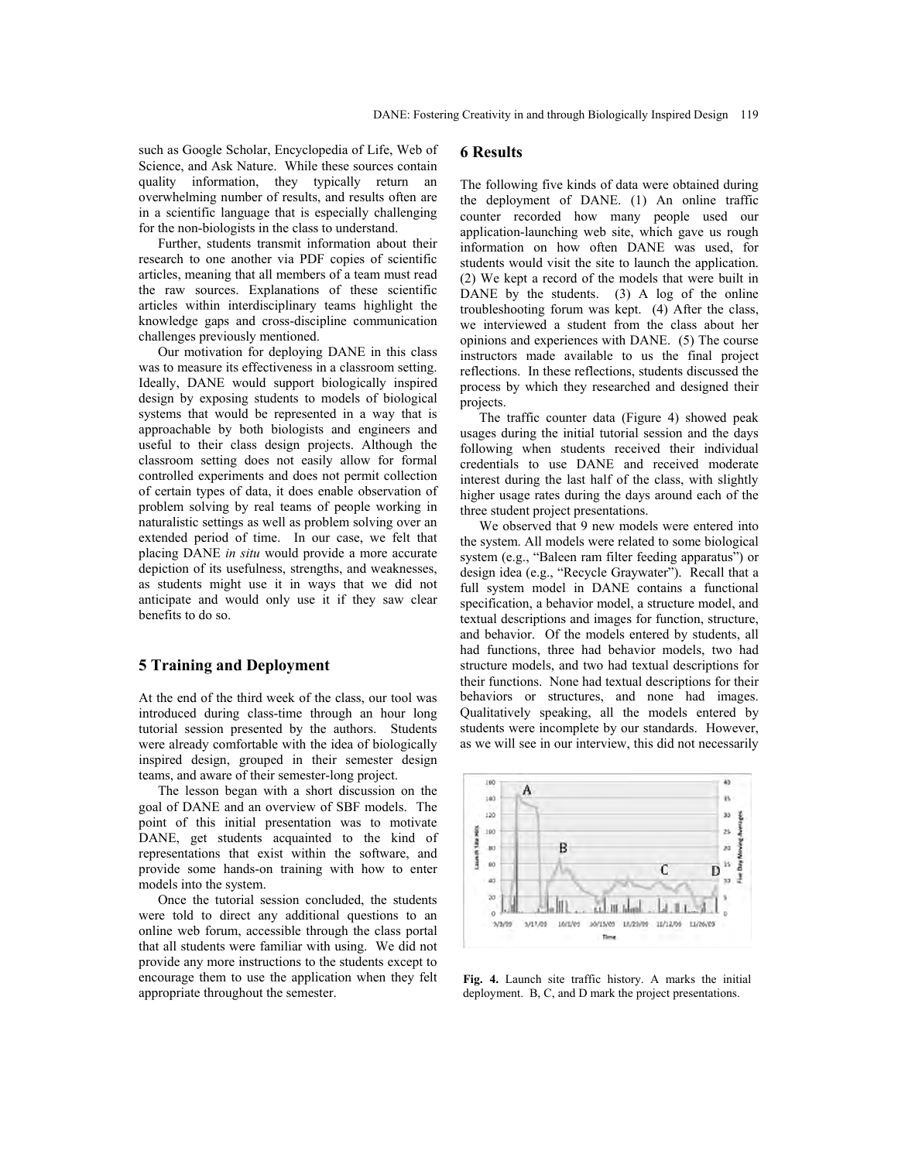such as Google Scholar, Encyclopedia of Life, Web of Science, and Ask Nature. While these sources contain quality information, they typically return an overwhelming number of results, and results often are in a scientific language that is especially challenging for the non-biologists in the class to understand.

Further, students transmit information about their research to one another via PDF copies of scientific articles, meaning that all members of a team must read the raw sources. Explanations of these scientific articles within interdisciplinary teams highlight the knowledge gaps and cross-discipline communication challenges previously mentioned.

Our motivation for deploying DANE in this class was to measure its effectiveness in a classroom setting. Ideally, DANE would support biologically inspired design by exposing students to models of biological systems that would be represented in a way that is approachable by both biologists and engineers and useful to their class design projects. Although the classroom setting does not easily allow for formal controlled experiments and does not permit collection of certain types of data, it does enable observation of problem solving by real teams of people working in naturalistic settings as well as problem solving over an extended period of time. In our case, we felt that placing DANE in situ would provide a more accurate depiction of its usefulness, strengths, and weaknesses, as students might use it in ways that we did not anticipate and would only use it if they saw clear benefits to do so.

#### **5 Training and Deployment**

At the end of the third week of the class, our tool was introduced during class-time through an hour long tutorial session presented by the authors. Students were already comfortable with the idea of biologically inspired design, grouped in their semester design teams, and aware of their semester-long project.

The lesson began with a short discussion on the goal of DANE and an overview of SBF models. The point of this initial presentation was to motivate DANE, get students acquainted to the kind of representations that exist within the software, and provide some hands-on training with how to enter models into the system.

Once the tutorial session concluded, the students were told to direct any additional questions to an online web forum, accessible through the class portal that all students were familiar with using. We did not provide any more instructions to the students except to encourage them to use the application when they felt appropriate throughout the semester.

# **6 Results**

The following five kinds of data were obtained during the deployment of DANE. (1) An online traffic counter recorded how many people used our application-launching web site, which gave us rough information on how often DANE was used, for students would visit the site to launch the application. (2) We kept a record of the models that were built in DANE by the students.  $(3)$  A log of the online troubleshooting forum was kept. (4) After the class, we interviewed a student from the class about her opinions and experiences with DANE. (5) The course instructors made available to us the final project reflections. In these reflections, students discussed the process by which they researched and designed their projects.

The traffic counter data (Figure 4) showed peak usages during the initial tutorial session and the days following when students received their individual credentials to use DANE and received moderate interest during the last half of the class, with slightly higher usage rates during the days around each of the three student project presentations.

We observed that 9 new models were entered into the system. All models were related to some biological system (e.g., "Baleen ram filter feeding apparatus") or design idea (e.g., "Recycle Graywater"). Recall that a full system model in DANE contains a functional specification, a behavior model, a structure model, and textual descriptions and images for function, structure, and behavior. Of the models entered by students, all had functions, three had behavior models, two had structure models, and two had textual descriptions for their functions. None had textual descriptions for their behaviors or structures, and none had images. Qualitatively speaking, all the models entered by students were incomplete by our standards. However, as we will see in our interview, this did not necessarily



Fig. 4. Launch site traffic history. A marks the initial deployment. B, C, and D mark the project presentations.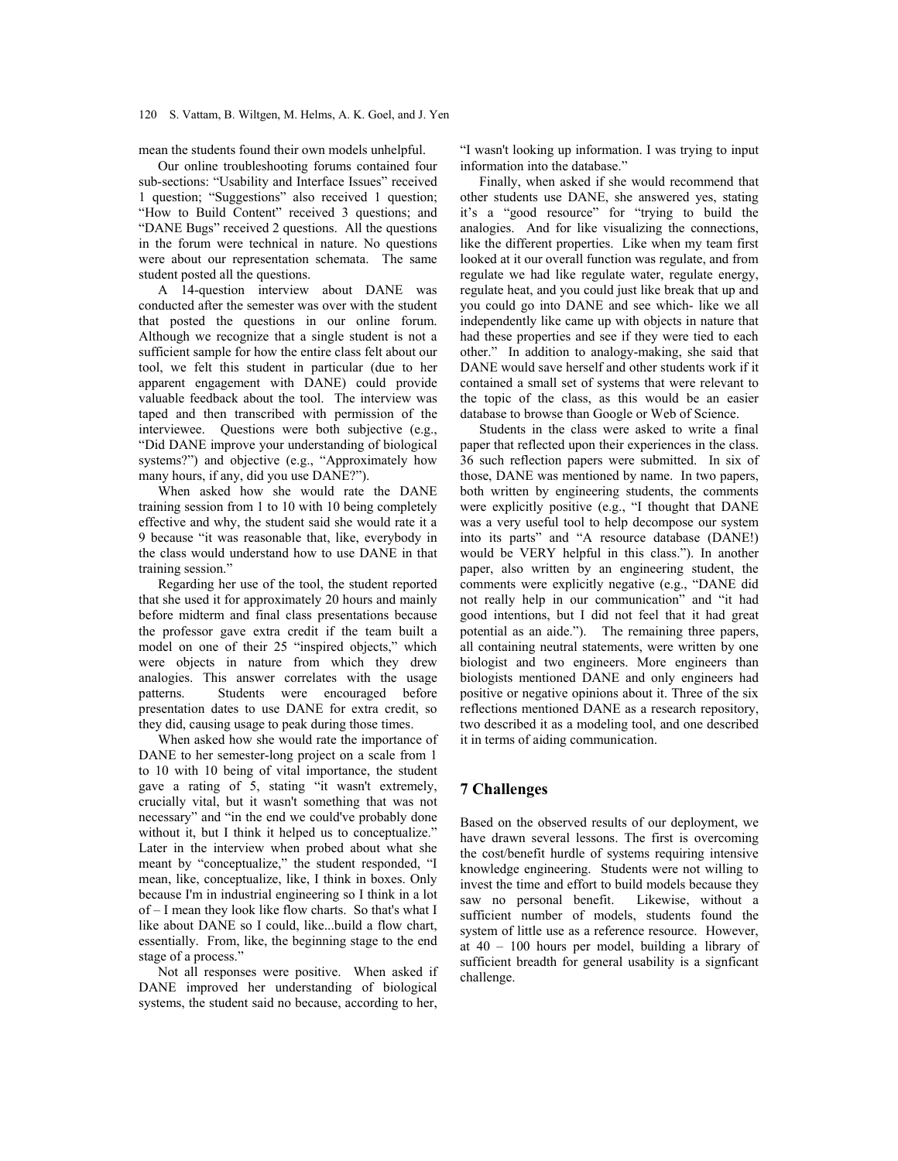mean the students found their own models unhelpful.

Our online troubleshooting forums contained four sub-sections: "Usability and Interface Issues" received 1 question; "Suggestions" also received 1 question; "How to Build Content" received 3 questions; and "DANE Bugs" received 2 questions. All the questions in the forum were technical in nature. No questions were about our representation schemata. The same student posted all the questions.

A 14-question interview about DANE was conducted after the semester was over with the student that posted the questions in our online forum. Although we recognize that a single student is not a sufficient sample for how the entire class felt about our tool, we felt this student in particular (due to her apparent engagement with DANE) could provide valuable feedback about the tool. The interview was taped and then transcribed with permission of the interviewee. Questions were both subjective (e.g., "Did DANE improve your understanding of biological systems?") and objective (e.g., "Approximately how many hours, if any, did you use DANE?").

When asked how she would rate the DANE training session from 1 to 10 with 10 being completely effective and why, the student said she would rate it a 9 because "it was reasonable that, like, everybody in the class would understand how to use DANE in that training session."

Regarding her use of the tool, the student reported that she used it for approximately 20 hours and mainly before midterm and final class presentations because the professor gave extra credit if the team built a model on one of their 25 "inspired objects," which were objects in nature from which they drew analogies. This answer correlates with the usage patterns. Students were encouraged before presentation dates to use DANE for extra credit, so they did, causing usage to peak during those times.

When asked how she would rate the importance of DANE to her semester-long project on a scale from 1 to 10 with 10 being of vital importance, the student gave a rating of 5, stating "it wasn't extremely, crucially vital, but it wasn't something that was not necessary" and "in the end we could've probably done without it, but I think it helped us to conceptualize." Later in the interview when probed about what she meant by "conceptualize," the student responded, "I mean, like, conceptualize, like, I think in boxes. Only because I'm in industrial engineering so I think in a lot of - I mean they look like flow charts. So that's what I like about DANE so I could, like...build a flow chart, essentially. From, like, the beginning stage to the end stage of a process."

Not all responses were positive. When asked if DANE improved her understanding of biological systems, the student said no because, according to her,

"I wasn't looking up information. I was trying to input information into the database."

Finally, when asked if she would recommend that other students use DANE, she answered yes, stating it's a "good resource" for "trying to build the analogies. And for like visualizing the connections, like the different properties. Like when my team first looked at it our overall function was regulate, and from regulate we had like regulate water, regulate energy, regulate heat, and you could just like break that up and you could go into DANE and see which- like we all independently like came up with objects in nature that had these properties and see if they were tied to each other." In addition to analogy-making, she said that DANE would save herself and other students work if it contained a small set of systems that were relevant to the topic of the class, as this would be an easier database to browse than Google or Web of Science.

Students in the class were asked to write a final paper that reflected upon their experiences in the class. 36 such reflection papers were submitted. In six of those, DANE was mentioned by name. In two papers, both written by engineering students, the comments were explicitly positive (e.g., "I thought that DANE was a very useful tool to help decompose our system into its parts" and "A resource database (DANE!) would be VERY helpful in this class."). In another paper, also written by an engineering student, the comments were explicitly negative (e.g., "DANE did not really help in our communication" and "it had good intentions, but I did not feel that it had great potential as an aide."). The remaining three papers, all containing neutral statements, were written by one biologist and two engineers. More engineers than biologists mentioned DANE and only engineers had positive or negative opinions about it. Three of the six reflections mentioned DANE as a research repository, two described it as a modeling tool, and one described it in terms of aiding communication.

#### **7 Challenges**

Based on the observed results of our deployment, we have drawn several lessons. The first is overcoming the cost/benefit hurdle of systems requiring intensive knowledge engineering. Students were not willing to invest the time and effort to build models because they saw no personal benefit. Likewise, without a sufficient number of models, students found the system of little use as a reference resource. However, at  $40 - 100$  hours per model, building a library of sufficient breadth for general usability is a significant challenge.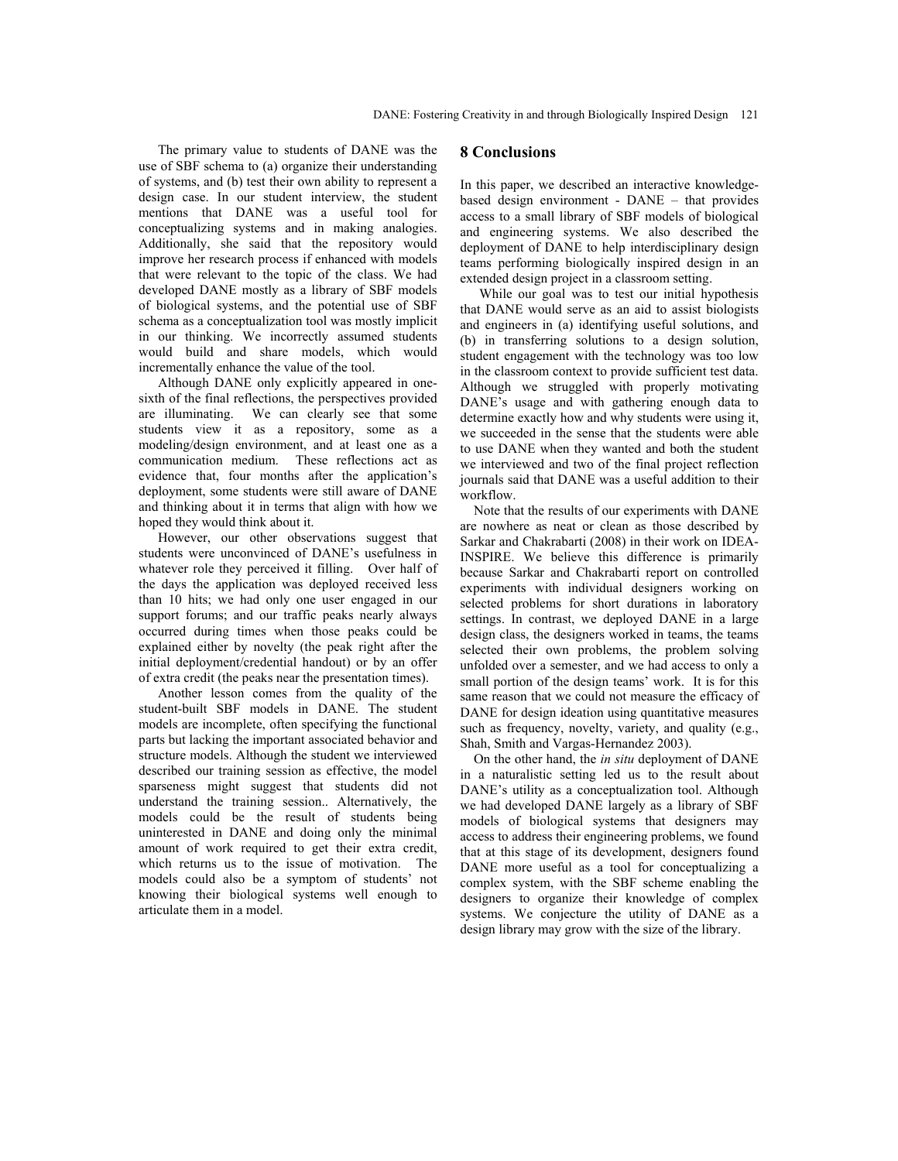The primary value to students of DANE was the use of SBF schema to (a) organize their understanding of systems, and (b) test their own ability to represent a design case. In our student interview, the student mentions that DANE was a useful tool for conceptualizing systems and in making analogies. Additionally, she said that the repository would improve her research process if enhanced with models that were relevant to the topic of the class. We had developed DANE mostly as a library of SBF models of biological systems, and the potential use of SBF schema as a conceptualization tool was mostly implicit in our thinking. We incorrectly assumed students would build and share models, which would incrementally enhance the value of the tool.

Although DANE only explicitly appeared in onesixth of the final reflections, the perspectives provided are illuminating. We can clearly see that some students view it as a repository, some as a modeling/design environment, and at least one as a communication medium. These reflections act as evidence that, four months after the application's deployment, some students were still aware of DANE and thinking about it in terms that align with how we hoped they would think about it.

However, our other observations suggest that students were unconvinced of DANE's usefulness in whatever role they perceived it filling. Over half of the days the application was deployed received less than 10 hits; we had only one user engaged in our support forums; and our traffic peaks nearly always occurred during times when those peaks could be explained either by novelty (the peak right after the initial deployment/credential handout) or by an offer of extra credit (the peaks near the presentation times).

Another lesson comes from the quality of the student-built SBF models in DANE. The student models are incomplete, often specifying the functional parts but lacking the important associated behavior and structure models. Although the student we interviewed described our training session as effective, the model sparseness might suggest that students did not understand the training session. Alternatively, the models could be the result of students being uninterested in DANE and doing only the minimal amount of work required to get their extra credit, which returns us to the issue of motivation. The models could also be a symptom of students' not knowing their biological systems well enough to articulate them in a model.

#### **8 Conclusions**

In this paper, we described an interactive knowledgebased design environment - DANE - that provides access to a small library of SBF models of biological and engineering systems. We also described the deployment of DANE to help interdisciplinary design teams performing biologically inspired design in an extended design project in a classroom setting.

While our goal was to test our initial hypothesis that DANE would serve as an aid to assist biologists and engineers in (a) identifying useful solutions, and (b) in transferring solutions to a design solution, student engagement with the technology was too low in the classroom context to provide sufficient test data. Although we struggled with properly motivating DANE's usage and with gathering enough data to determine exactly how and why students were using it, we succeeded in the sense that the students were able to use DANE when they wanted and both the student we interviewed and two of the final project reflection journals said that DANE was a useful addition to their workflow.

Note that the results of our experiments with DANE are nowhere as neat or clean as those described by Sarkar and Chakrabarti (2008) in their work on IDEA-INSPIRE. We believe this difference is primarily because Sarkar and Chakrabarti report on controlled experiments with individual designers working on selected problems for short durations in laboratory settings. In contrast, we deployed DANE in a large design class, the designers worked in teams, the teams selected their own problems, the problem solving unfolded over a semester, and we had access to only a small portion of the design teams' work. It is for this same reason that we could not measure the efficacy of DANE for design ideation using quantitative measures such as frequency, novelty, variety, and quality (e.g., Shah, Smith and Vargas-Hernandez 2003).

On the other hand, the *in situ* deployment of DANE in a naturalistic setting led us to the result about DANE's utility as a conceptualization tool. Although we had developed DANE largely as a library of SBF models of biological systems that designers may access to address their engineering problems, we found that at this stage of its development, designers found DANE more useful as a tool for conceptualizing a complex system, with the SBF scheme enabling the designers to organize their knowledge of complex systems. We conjecture the utility of DANE as a design library may grow with the size of the library.